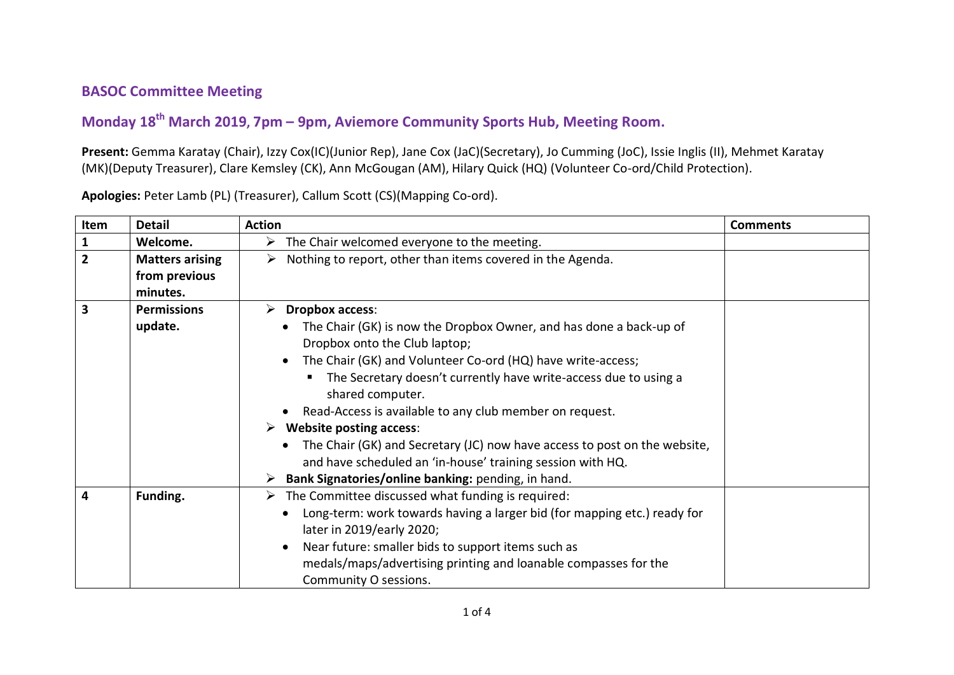## **BASOC Committee Meeting**

## **Monday 18th March 2019, 7pm – 9pm, Aviemore Community Sports Hub, Meeting Room.**

**Present:** Gemma Karatay (Chair), Izzy Cox(IC)(Junior Rep), Jane Cox (JaC)(Secretary), Jo Cumming (JoC), Issie Inglis (II), Mehmet Karatay (MK)(Deputy Treasurer), Clare Kemsley (CK), Ann McGougan (AM), Hilary Quick (HQ) (Volunteer Co-ord/Child Protection).

**Apologies:** Peter Lamb (PL) (Treasurer), Callum Scott (CS)(Mapping Co-ord).

| Item           | <b>Detail</b>          | <b>Action</b>                                                                          | <b>Comments</b> |
|----------------|------------------------|----------------------------------------------------------------------------------------|-----------------|
| $\mathbf{1}$   | Welcome.               | The Chair welcomed everyone to the meeting.<br>➤                                       |                 |
| $\overline{2}$ | <b>Matters arising</b> | Nothing to report, other than items covered in the Agenda.<br>➤                        |                 |
|                | from previous          |                                                                                        |                 |
|                | minutes.               |                                                                                        |                 |
| 3              | <b>Permissions</b>     | <b>Dropbox access:</b><br>⋗                                                            |                 |
|                | update.                | The Chair (GK) is now the Dropbox Owner, and has done a back-up of                     |                 |
|                |                        | Dropbox onto the Club laptop;                                                          |                 |
|                |                        | The Chair (GK) and Volunteer Co-ord (HQ) have write-access;                            |                 |
|                |                        | The Secretary doesn't currently have write-access due to using a<br>shared computer.   |                 |
|                |                        | Read-Access is available to any club member on request.                                |                 |
|                |                        | <b>Website posting access:</b><br>➤                                                    |                 |
|                |                        | The Chair (GK) and Secretary (JC) now have access to post on the website,<br>$\bullet$ |                 |
|                |                        | and have scheduled an 'in-house' training session with HQ.                             |                 |
|                |                        | Bank Signatories/online banking: pending, in hand.                                     |                 |
| 4              | Funding.               | $\triangleright$ The Committee discussed what funding is required:                     |                 |
|                |                        | Long-term: work towards having a larger bid (for mapping etc.) ready for               |                 |
|                |                        | later in 2019/early 2020;                                                              |                 |
|                |                        | Near future: smaller bids to support items such as                                     |                 |
|                |                        | medals/maps/advertising printing and loanable compasses for the                        |                 |
|                |                        | Community O sessions.                                                                  |                 |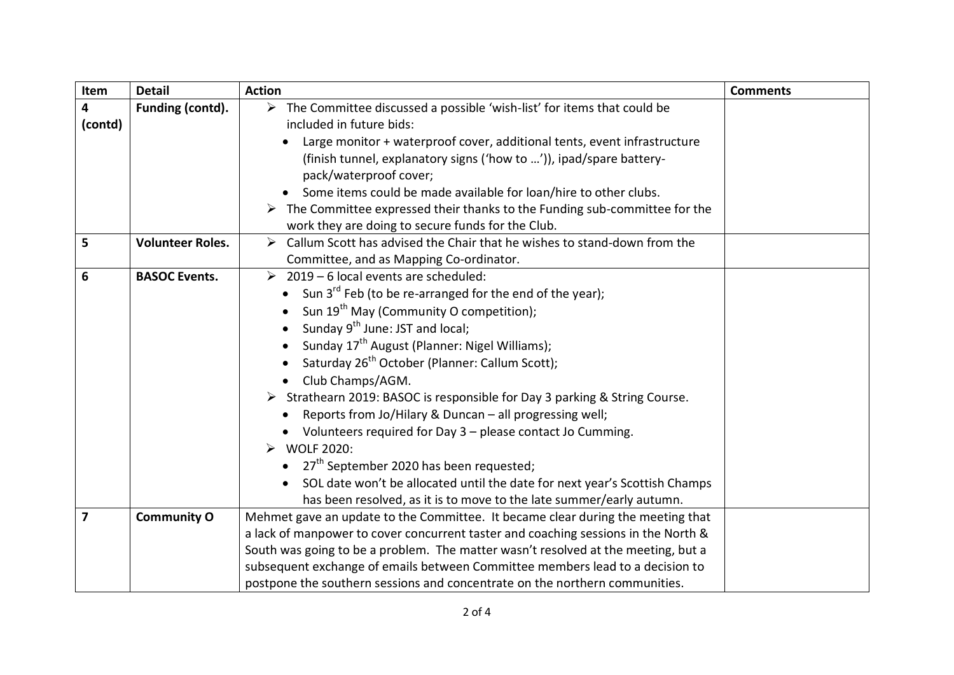| Item           | <b>Detail</b>           | <b>Action</b>                                                                                     | <b>Comments</b> |
|----------------|-------------------------|---------------------------------------------------------------------------------------------------|-----------------|
| 4              | Funding (contd).        | $\triangleright$ The Committee discussed a possible 'wish-list' for items that could be           |                 |
| (contd)        |                         | included in future bids:                                                                          |                 |
|                |                         | Large monitor + waterproof cover, additional tents, event infrastructure                          |                 |
|                |                         | (finish tunnel, explanatory signs ('how to ')), ipad/spare battery-                               |                 |
|                |                         | pack/waterproof cover;                                                                            |                 |
|                |                         | Some items could be made available for loan/hire to other clubs.                                  |                 |
|                |                         | $\triangleright$ The Committee expressed their thanks to the Funding sub-committee for the        |                 |
|                |                         | work they are doing to secure funds for the Club.                                                 |                 |
| 5              | <b>Volunteer Roles.</b> | Callum Scott has advised the Chair that he wishes to stand-down from the<br>$\blacktriangleright$ |                 |
|                |                         | Committee, and as Mapping Co-ordinator.                                                           |                 |
| 6              | <b>BASOC Events.</b>    | $\geq 2019 - 6$ local events are scheduled:                                                       |                 |
|                |                         | Sun 3 <sup>rd</sup> Feb (to be re-arranged for the end of the year);                              |                 |
|                |                         | Sun 19 <sup>th</sup> May (Community O competition);                                               |                 |
|                |                         | Sunday 9 <sup>th</sup> June: JST and local;                                                       |                 |
|                |                         | Sunday 17 <sup>th</sup> August (Planner: Nigel Williams);                                         |                 |
|                |                         | Saturday 26 <sup>th</sup> October (Planner: Callum Scott);                                        |                 |
|                |                         | Club Champs/AGM.                                                                                  |                 |
|                |                         | > Strathearn 2019: BASOC is responsible for Day 3 parking & String Course.                        |                 |
|                |                         | Reports from Jo/Hilary & Duncan - all progressing well;                                           |                 |
|                |                         | Volunteers required for Day 3 - please contact Jo Cumming.                                        |                 |
|                |                         | <b>WOLF 2020:</b><br>$\blacktriangleright$                                                        |                 |
|                |                         | • $27th$ September 2020 has been requested;                                                       |                 |
|                |                         | SOL date won't be allocated until the date for next year's Scottish Champs                        |                 |
|                |                         | has been resolved, as it is to move to the late summer/early autumn.                              |                 |
| $\overline{7}$ | <b>Community O</b>      | Mehmet gave an update to the Committee. It became clear during the meeting that                   |                 |
|                |                         | a lack of manpower to cover concurrent taster and coaching sessions in the North &                |                 |
|                |                         | South was going to be a problem. The matter wasn't resolved at the meeting, but a                 |                 |
|                |                         | subsequent exchange of emails between Committee members lead to a decision to                     |                 |
|                |                         | postpone the southern sessions and concentrate on the northern communities.                       |                 |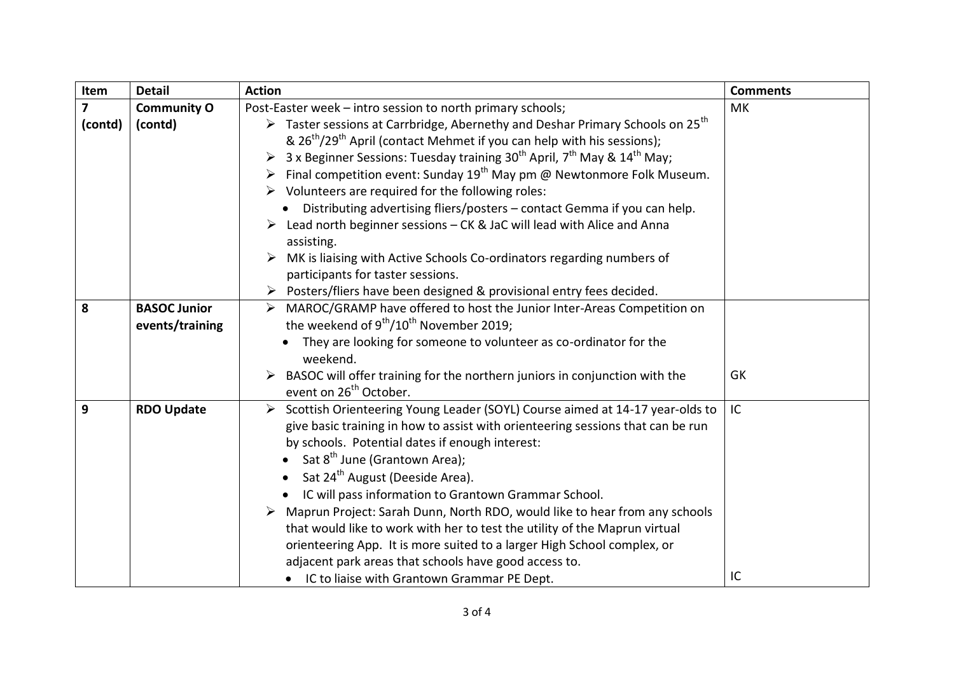| Item           | <b>Detail</b>                          | <b>Action</b>                                                                                                                                                                                                                                                                                                                                                                                                                                                                                                                                                                                                                                                                                                                                | <b>Comments</b> |
|----------------|----------------------------------------|----------------------------------------------------------------------------------------------------------------------------------------------------------------------------------------------------------------------------------------------------------------------------------------------------------------------------------------------------------------------------------------------------------------------------------------------------------------------------------------------------------------------------------------------------------------------------------------------------------------------------------------------------------------------------------------------------------------------------------------------|-----------------|
| $\overline{ }$ | <b>Community O</b>                     | Post-Easter week - intro session to north primary schools;                                                                                                                                                                                                                                                                                                                                                                                                                                                                                                                                                                                                                                                                                   | MK              |
| (contd)        | (contd)                                | $\triangleright$ Taster sessions at Carrbridge, Abernethy and Deshar Primary Schools on 25 <sup>th</sup><br>& $26^{th}/29^{th}$ April (contact Mehmet if you can help with his sessions);<br>3 x Beginner Sessions: Tuesday training 30 <sup>th</sup> April, 7 <sup>th</sup> May & 14 <sup>th</sup> May;<br>Final competition event: Sunday $19^{th}$ May pm @ Newtonmore Folk Museum.<br>$\triangleright$ Volunteers are required for the following roles:<br>Distributing advertising fliers/posters - contact Gemma if you can help.<br>Lead north beginner sessions - CK & JaC will lead with Alice and Anna<br>assisting.<br>MK is liaising with Active Schools Co-ordinators regarding numbers of<br>participants for taster sessions. |                 |
|                |                                        | Posters/fliers have been designed & provisional entry fees decided.<br>➤                                                                                                                                                                                                                                                                                                                                                                                                                                                                                                                                                                                                                                                                     |                 |
| 8              | <b>BASOC Junior</b><br>events/training | MAROC/GRAMP have offered to host the Junior Inter-Areas Competition on<br>the weekend of $9^{th}/10^{th}$ November 2019;<br>They are looking for someone to volunteer as co-ordinator for the<br>weekend.                                                                                                                                                                                                                                                                                                                                                                                                                                                                                                                                    |                 |
|                |                                        | BASOC will offer training for the northern juniors in conjunction with the<br>event on 26 <sup>th</sup> October.                                                                                                                                                                                                                                                                                                                                                                                                                                                                                                                                                                                                                             | GK              |
| 9              | <b>RDO Update</b>                      | Scottish Orienteering Young Leader (SOYL) Course aimed at 14-17 year-olds to<br>➤<br>give basic training in how to assist with orienteering sessions that can be run<br>by schools. Potential dates if enough interest:<br>• Sat $8^{th}$ June (Grantown Area);<br>Sat 24 <sup>th</sup> August (Deeside Area).<br>• IC will pass information to Grantown Grammar School.<br>> Maprun Project: Sarah Dunn, North RDO, would like to hear from any schools<br>that would like to work with her to test the utility of the Maprun virtual<br>orienteering App. It is more suited to a larger High School complex, or<br>adjacent park areas that schools have good access to.<br>• IC to liaise with Grantown Grammar PE Dept.                  | IC<br>IC        |